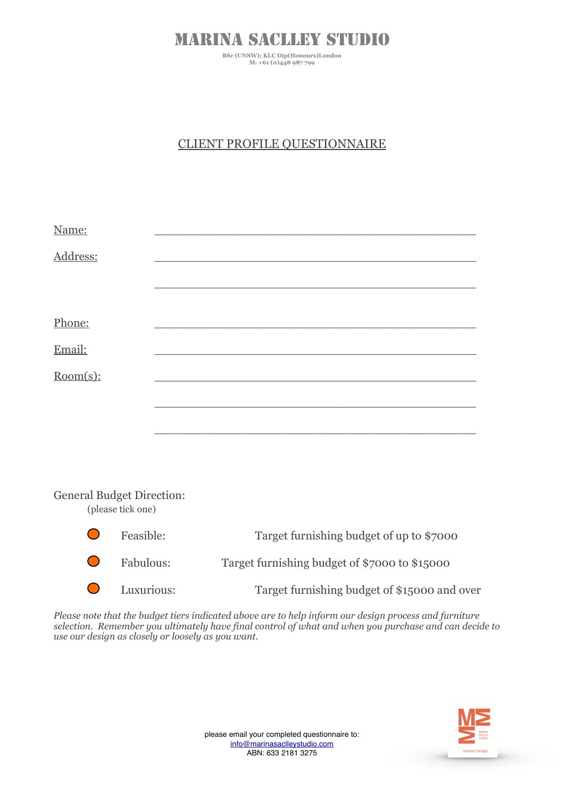**BSc (UNSW); KLC Dip(Honours)London M: +61 (0)448 987 799**

### CLIENT PROFILE QUESTIONNAIRE

| Name:       |                                                       |                                                                                                                       |
|-------------|-------------------------------------------------------|-----------------------------------------------------------------------------------------------------------------------|
| Address:    |                                                       |                                                                                                                       |
|             |                                                       |                                                                                                                       |
|             |                                                       |                                                                                                                       |
| Phone:      |                                                       |                                                                                                                       |
| Email:      |                                                       | <u> 1989 - Johann Harry Harry Harry Harry Harry Harry Harry Harry Harry Harry Harry Harry Harry Harry Harry Harry</u> |
| $Room(s)$ : |                                                       |                                                                                                                       |
|             |                                                       |                                                                                                                       |
|             |                                                       |                                                                                                                       |
|             |                                                       |                                                                                                                       |
|             |                                                       |                                                                                                                       |
|             | <b>General Budget Direction:</b><br>(please tick one) |                                                                                                                       |
|             | Feasible:                                             | Target furnishing budget of up to \$7000                                                                              |
|             | Fabulous:                                             | Target furnishing budget of \$7000 to \$15000                                                                         |
|             | Luxurious:                                            | Target furnishing budget of \$15000 and over                                                                          |

*Please note that the budget tiers indicated above are to help inform our design process and furniture selection. Remember you ultimately have final control of what and when you purchase and can decide to use our design as closely or loosely as you want.*



please email your completed questionnaire to: [info@marinasaclleystudio.com](mailto:info@marinasaclleystudio.com) ABN: 633 2181 3275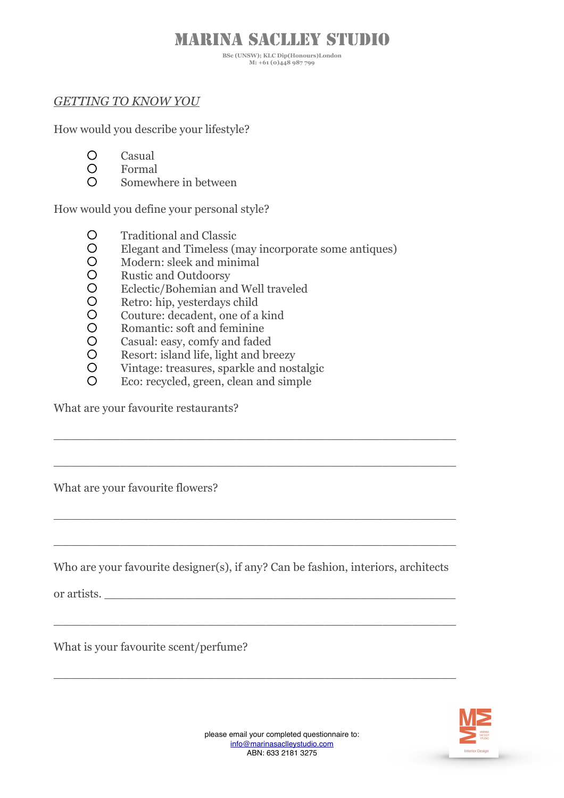**BSc (UNSW); KLC Dip(Honours)London M: +61 (0)448 987 799**

#### *GETTING TO KNOW YOU*

How would you describe your lifestyle?

- Casual
- Formal
- Somewhere in between

How would you define your personal style?

- Traditional and Classic
- O Elegant and Timeless (may incorporate some antiques)<br>O Modern: sleek and minimal
- O Modern: sleek and minimal<br>O Rustic and Outdoorsv
- O Rustic and Outdoorsy<br>O Eclectic/Bohemian an
- O Eclectic/Bohemian and Well traveled<br>O Retro: hip. vesterdays child
- O Retro: hip, yesterdays child<br>O Couture: decadent, one of a
- O Couture: decadent, one of a kind<br>O Romantic: soft and feminine
- O Romantic: soft and feminine<br>O Casual: easy, comfy and fade
- O Casual: easy, comfy and faded<br>O Resort: island life, light and br
- Resort: island life, light and breezy
- Vintage: treasures, sparkle and nostalgic
- Eco: recycled, green, clean and simple

What are your favourite restaurants?

What are your favourite flowers?

Who are your favourite designer(s), if any? Can be fashion, interiors, architects

\_\_\_\_\_\_\_\_\_\_\_\_\_\_\_\_\_\_\_\_\_\_\_\_\_\_\_\_\_\_\_\_\_\_\_\_\_\_\_\_\_\_\_\_\_\_\_\_\_\_\_\_\_\_\_

\_\_\_\_\_\_\_\_\_\_\_\_\_\_\_\_\_\_\_\_\_\_\_\_\_\_\_\_\_\_\_\_\_\_\_\_\_\_\_\_\_\_\_\_\_\_\_\_\_\_\_\_\_\_\_

\_\_\_\_\_\_\_\_\_\_\_\_\_\_\_\_\_\_\_\_\_\_\_\_\_\_\_\_\_\_\_\_\_\_\_\_\_\_\_\_\_\_\_\_\_\_\_\_\_\_\_\_\_\_\_

\_\_\_\_\_\_\_\_\_\_\_\_\_\_\_\_\_\_\_\_\_\_\_\_\_\_\_\_\_\_\_\_\_\_\_\_\_\_\_\_\_\_\_\_\_\_\_\_\_\_\_\_\_\_\_

\_\_\_\_\_\_\_\_\_\_\_\_\_\_\_\_\_\_\_\_\_\_\_\_\_\_\_\_\_\_\_\_\_\_\_\_\_\_\_\_\_\_\_\_\_\_\_\_\_\_\_\_\_\_\_

\_\_\_\_\_\_\_\_\_\_\_\_\_\_\_\_\_\_\_\_\_\_\_\_\_\_\_\_\_\_\_\_\_\_\_\_\_\_\_\_\_\_\_\_\_\_\_\_\_\_\_\_\_\_\_

or artists.

What is your favourite scent/perfume?

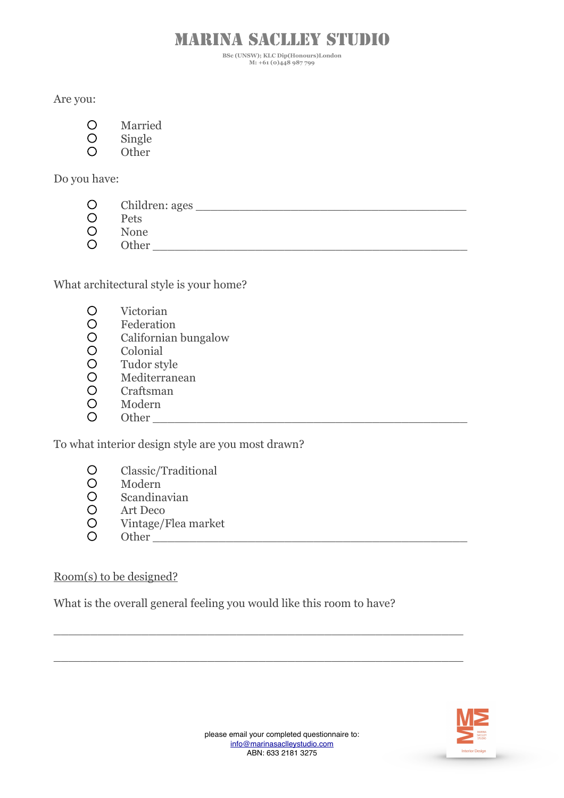**BSc (UNSW); KLC Dip(Honours)London M: +61 (0)448 987 799**

Are you:

- Married
- O Single<br>O Other
- **Other**

Do you have:

- Children: ages \_\_\_\_\_\_\_\_\_\_\_\_\_\_\_\_\_\_\_\_\_\_\_\_\_\_\_\_\_\_\_\_\_\_\_\_\_
- O Pets<br>O None
- None
- O Other

What architectural style is your home?

- O Victorian<br>O Federation
- O Federation<br>O Californian
- O Californian bungalow<br>O Colonial
- O Colonial<br>O Tudor st
- O Tudor style<br>O Mediterrane
- O Mediterranean<br>O Craftsman
- Craftsman
- O Modern
- O Other  $\Box$

To what interior design style are you most drawn?

- O Classic/Traditional<br>O Modern
- O Modern<br>O Scandina
- O Scandinavian<br>O Art Deco
- Art Deco
- Vintage/Flea market
- $\bigcirc$   $\qquad$  Other

#### Room(s) to be designed?

What is the overall general feeling you would like this room to have?

\_\_\_\_\_\_\_\_\_\_\_\_\_\_\_\_\_\_\_\_\_\_\_\_\_\_\_\_\_\_\_\_\_\_\_\_\_\_\_\_\_\_\_\_\_\_\_\_\_\_\_\_\_\_\_\_

\_\_\_\_\_\_\_\_\_\_\_\_\_\_\_\_\_\_\_\_\_\_\_\_\_\_\_\_\_\_\_\_\_\_\_\_\_\_\_\_\_\_\_\_\_\_\_\_\_\_\_\_\_\_\_\_

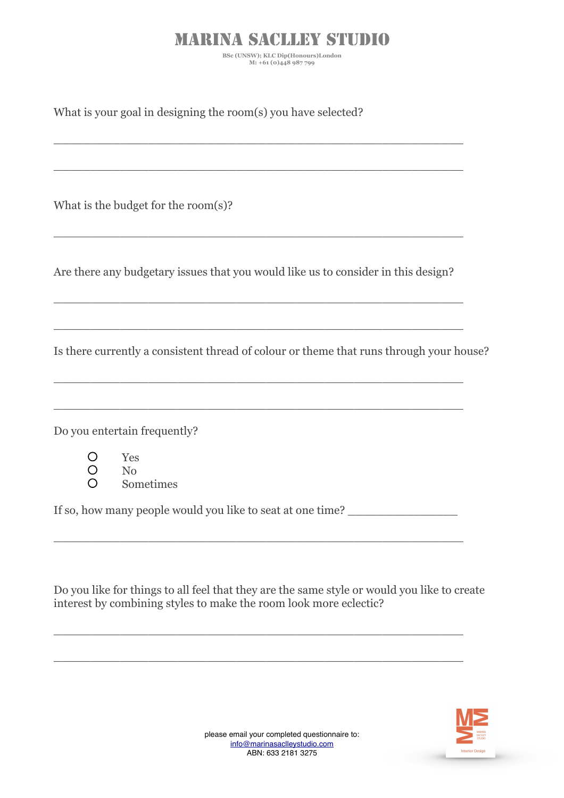**BSc (UNSW); KLC Dip(Honours)London M: +61 (0)448 987 799**

What is your goal in designing the room(s) you have selected?

What is the budget for the room(s)?

Are there any budgetary issues that you would like us to consider in this design?

\_\_\_\_\_\_\_\_\_\_\_\_\_\_\_\_\_\_\_\_\_\_\_\_\_\_\_\_\_\_\_\_\_\_\_\_\_\_\_\_\_\_\_\_\_\_\_\_\_\_\_\_\_\_\_\_

\_\_\_\_\_\_\_\_\_\_\_\_\_\_\_\_\_\_\_\_\_\_\_\_\_\_\_\_\_\_\_\_\_\_\_\_\_\_\_\_\_\_\_\_\_\_\_\_\_\_\_\_\_\_\_\_

\_\_\_\_\_\_\_\_\_\_\_\_\_\_\_\_\_\_\_\_\_\_\_\_\_\_\_\_\_\_\_\_\_\_\_\_\_\_\_\_\_\_\_\_\_\_\_\_\_\_\_\_\_\_\_\_

\_\_\_\_\_\_\_\_\_\_\_\_\_\_\_\_\_\_\_\_\_\_\_\_\_\_\_\_\_\_\_\_\_\_\_\_\_\_\_\_\_\_\_\_\_\_\_\_\_\_\_\_\_\_\_\_

\_\_\_\_\_\_\_\_\_\_\_\_\_\_\_\_\_\_\_\_\_\_\_\_\_\_\_\_\_\_\_\_\_\_\_\_\_\_\_\_\_\_\_\_\_\_\_\_\_\_\_\_\_\_\_\_

\_\_\_\_\_\_\_\_\_\_\_\_\_\_\_\_\_\_\_\_\_\_\_\_\_\_\_\_\_\_\_\_\_\_\_\_\_\_\_\_\_\_\_\_\_\_\_\_\_\_\_\_\_\_\_\_

\_\_\_\_\_\_\_\_\_\_\_\_\_\_\_\_\_\_\_\_\_\_\_\_\_\_\_\_\_\_\_\_\_\_\_\_\_\_\_\_\_\_\_\_\_\_\_\_\_\_\_\_\_\_\_\_

Is there currently a consistent thread of colour or theme that runs through your house?

Do you entertain frequently?

 Yes O No<br>O Son Sometimes

If so, how many people would you like to seat at one time? \_\_\_\_\_\_\_\_\_\_\_\_\_\_\_\_\_\_\_\_\_

Do you like for things to all feel that they are the same style or would you like to create interest by combining styles to make the room look more eclectic?

\_\_\_\_\_\_\_\_\_\_\_\_\_\_\_\_\_\_\_\_\_\_\_\_\_\_\_\_\_\_\_\_\_\_\_\_\_\_\_\_\_\_\_\_\_\_\_\_\_\_\_\_\_\_\_\_

\_\_\_\_\_\_\_\_\_\_\_\_\_\_\_\_\_\_\_\_\_\_\_\_\_\_\_\_\_\_\_\_\_\_\_\_\_\_\_\_\_\_\_\_\_\_\_\_\_\_\_\_\_\_\_\_

\_\_\_\_\_\_\_\_\_\_\_\_\_\_\_\_\_\_\_\_\_\_\_\_\_\_\_\_\_\_\_\_\_\_\_\_\_\_\_\_\_\_\_\_\_\_\_\_\_\_\_\_\_\_\_\_

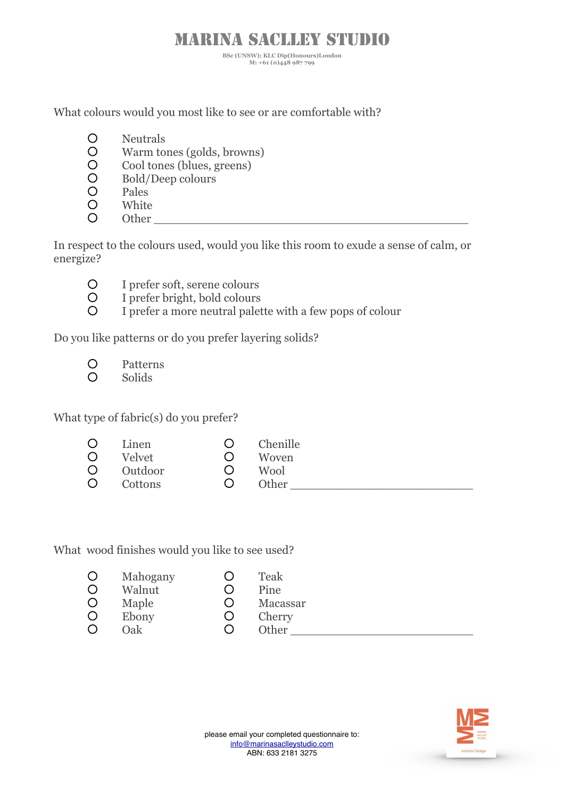**BSc (UNSW); KLC Dip(Honours)London M: +61 (0)448 987 799**

#### What colours would you most like to see or are comfortable with?

- O Neutrals
- Warm tones (golds, browns)
- Cool tones (blues, greens)
- O Bold/Deep colours
- O Pales
- White
- Other \_\_\_\_\_\_\_\_\_\_\_\_\_\_\_\_\_\_\_\_\_\_\_\_\_\_\_\_\_\_\_\_\_\_\_\_\_\_\_\_\_\_\_

In respect to the colours used, would you like this room to exude a sense of calm, or energize?

- O I prefer soft, serene colours<br>O I prefer bright, bold colours
- $\begin{array}{cc}\n\bullet & \text{I prefer bright, bold colours} \\
\bullet & \text{I prefer a more neutral pale}\n\end{array}$
- I prefer a more neutral palette with a few pops of colour

Do you like patterns or do you prefer layering solids?

- Patterns
- O Solids

What type of fabric(s) do you prefer?

| $\circ$    | Linen   | Chenille |
|------------|---------|----------|
| $\circ$    | Velvet  | Woven    |
| $\circ$    | Outdoor | Wool     |
| $\bigcirc$ | Cottons | Other    |

What wood finishes would you like to see used?

| Ő | Mahogany | Teak     |
|---|----------|----------|
|   | Walnut   | Pine     |
|   | Maple    | Macassar |
|   | Ebony    | Cherry   |
|   | Oak      | Other    |
|   |          |          |

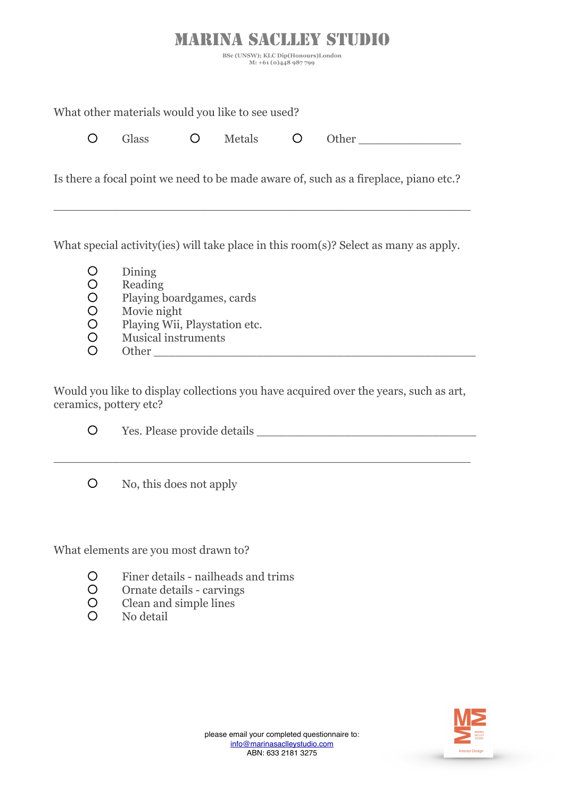**BSc (UNSW); KLC Dip(Honours)London M: +61 (0)448 987 799**

|                                                                                      | What other materials would you like to see used? |                            |               |                        |                                                                                       |  |  |
|--------------------------------------------------------------------------------------|--------------------------------------------------|----------------------------|---------------|------------------------|---------------------------------------------------------------------------------------|--|--|
| ◯                                                                                    | Glass                                            |                            | <b>Metals</b> | $\left( \quad \right)$ | Other                                                                                 |  |  |
| Is there a focal point we need to be made aware of, such as a fireplace, piano etc.? |                                                  |                            |               |                        |                                                                                       |  |  |
|                                                                                      |                                                  |                            |               |                        | What special activity (ies) will take place in this room(s)? Select as many as apply. |  |  |
| O                                                                                    | Dining                                           |                            |               |                        |                                                                                       |  |  |
| O                                                                                    | Reading                                          |                            |               |                        |                                                                                       |  |  |
| $\bigcirc$                                                                           | Playing boardgames, cards                        |                            |               |                        |                                                                                       |  |  |
| $\bigcirc$                                                                           |                                                  | Movie night                |               |                        |                                                                                       |  |  |
| O                                                                                    | Playing Wii, Playstation etc.                    |                            |               |                        |                                                                                       |  |  |
|                                                                                      |                                                  | <b>Musical instruments</b> |               |                        |                                                                                       |  |  |

 $O$  Other  $\_\_$ 

Would you like to display collections you have acquired over the years, such as art, ceramics, pottery etc?

\_\_\_\_\_\_\_\_\_\_\_\_\_\_\_\_\_\_\_\_\_\_\_\_\_\_\_\_\_\_\_\_\_\_\_\_\_\_\_\_\_\_\_\_\_\_\_\_\_\_\_\_\_\_\_\_\_

|  | Yes. Please provide details |  |
|--|-----------------------------|--|
|--|-----------------------------|--|

No, this does not apply

What elements are you most drawn to?

- O Finer details nailheads and trims<br>O Ornate details carvings
- O Ornate details carvings<br>O Clean and simple lines
- Clean and simple lines
- O No detail

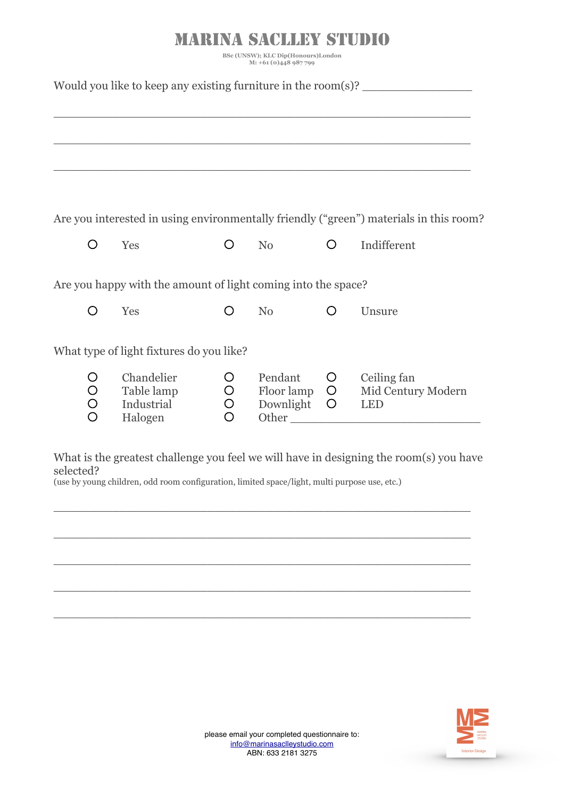**BSc (UNSW); KLC Dip(Honours)London M: +61 (0)448 987 799**

|                                          |                                                               |                                                   |                                                       |                                              |         | Would you like to keep any existing furniture in the room(s)? $\frac{1}{2}$            |
|------------------------------------------|---------------------------------------------------------------|---------------------------------------------------|-------------------------------------------------------|----------------------------------------------|---------|----------------------------------------------------------------------------------------|
|                                          |                                                               |                                                   |                                                       |                                              |         |                                                                                        |
|                                          |                                                               |                                                   |                                                       |                                              |         | Are you interested in using environmentally friendly ("green") materials in this room? |
|                                          | ◯                                                             | Yes                                               | $\circ$                                               | No                                           | $\circ$ | Indifferent                                                                            |
|                                          | Are you happy with the amount of light coming into the space? |                                                   |                                                       |                                              |         |                                                                                        |
|                                          | $\left(\begin{smallmatrix} 1 \\ 1 \end{smallmatrix}\right)$   | Yes                                               | $\left(\right)$                                       | No                                           | O       | Unsure                                                                                 |
| What type of light fixtures do you like? |                                                               |                                                   |                                                       |                                              |         |                                                                                        |
|                                          | O<br>O<br>O                                                   | Chandelier<br>Table lamp<br>Industrial<br>Halogen | $\begin{array}{c}\n0 \\ 0\n\end{array}$<br>$\bigcirc$ | Pendant<br>Floor lamp $\circ$<br>Downlight O | $\circ$ | Ceiling fan<br>Mid Century Modern<br><b>LED</b><br>Other                               |

What is the greatest challenge you feel we will have in designing the room(s) you have selected?

\_\_\_\_\_\_\_\_\_\_\_\_\_\_\_\_\_\_\_\_\_\_\_\_\_\_\_\_\_\_\_\_\_\_\_\_\_\_\_\_\_\_\_\_\_\_\_\_\_\_\_\_\_\_\_\_\_

\_\_\_\_\_\_\_\_\_\_\_\_\_\_\_\_\_\_\_\_\_\_\_\_\_\_\_\_\_\_\_\_\_\_\_\_\_\_\_\_\_\_\_\_\_\_\_\_\_\_\_\_\_\_\_\_\_

\_\_\_\_\_\_\_\_\_\_\_\_\_\_\_\_\_\_\_\_\_\_\_\_\_\_\_\_\_\_\_\_\_\_\_\_\_\_\_\_\_\_\_\_\_\_\_\_\_\_\_\_\_\_\_\_\_

\_\_\_\_\_\_\_\_\_\_\_\_\_\_\_\_\_\_\_\_\_\_\_\_\_\_\_\_\_\_\_\_\_\_\_\_\_\_\_\_\_\_\_\_\_\_\_\_\_\_\_\_\_\_\_\_\_

\_\_\_\_\_\_\_\_\_\_\_\_\_\_\_\_\_\_\_\_\_\_\_\_\_\_\_\_\_\_\_\_\_\_\_\_\_\_\_\_\_\_\_\_\_\_\_\_\_\_\_\_\_\_\_\_\_

(use by young children, odd room configuration, limited space/light, multi purpose use, etc.)